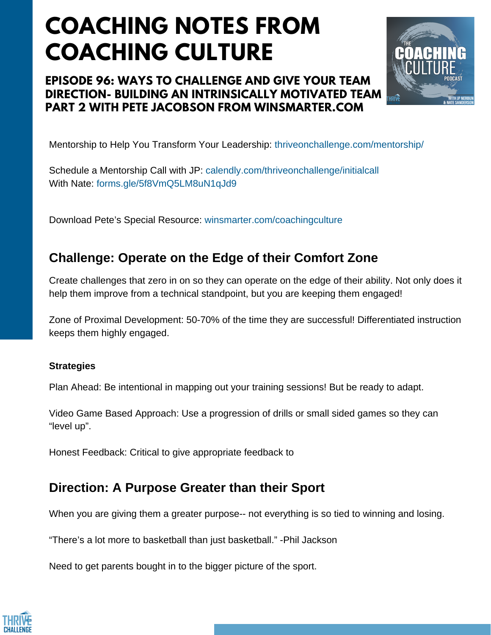# **COACHING NOTES FROM COACHING CULTURE**

### **EPISODE 96: WAYS TO CHALLENGE AND GIVE YOUR TEAM DIRECTION- BUILDING AN INTRINSICALLY MOTIVATED TEAM PART 2 WITH PETE JACOBSON FROM WINSMARTER.COM**



Mentorship to Help You Transform Your Leadership: <thriveonchallenge.com/mentorship/>

Schedule a Mentorship Call with JP: <calendly.com/thriveonchallenge/initialcall> With Nate: <forms.gle/5f8VmQ5LM8uN1qJd9>

Download Pete's Special Resource: <winsmarter.com/coachingculture>

### **Challenge: Operate on the Edge of their Comfort Zone**

Create challenges that zero in on so they can operate on the edge of their ability. Not only does it help them improve from a technical standpoint, but you are keeping them engaged!

Zone of Proximal Development: 50-70% of the time they are successful! Differentiated instruction keeps them highly engaged.

#### **Strategies**

Plan Ahead: Be intentional in mapping out your training sessions! But be ready to adapt.

Video Game Based Approach: Use a progression of drills or small sided games so they can "level up".

Honest Feedback: Critical to give appropriate feedback to

## **Direction: A Purpose Greater than their Sport**

When you are giving them a greater purpose-- not everything is so tied to winning and losing.

"There's a lot more to basketball than just basketball." -Phil Jackson

Need to get parents bought in to the bigger picture of the sport.